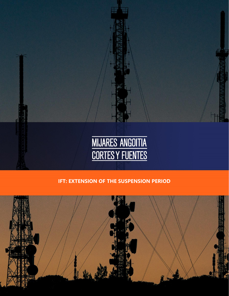

## **IFT: EXTENSION OF THE SUSPENSION PERIOD**